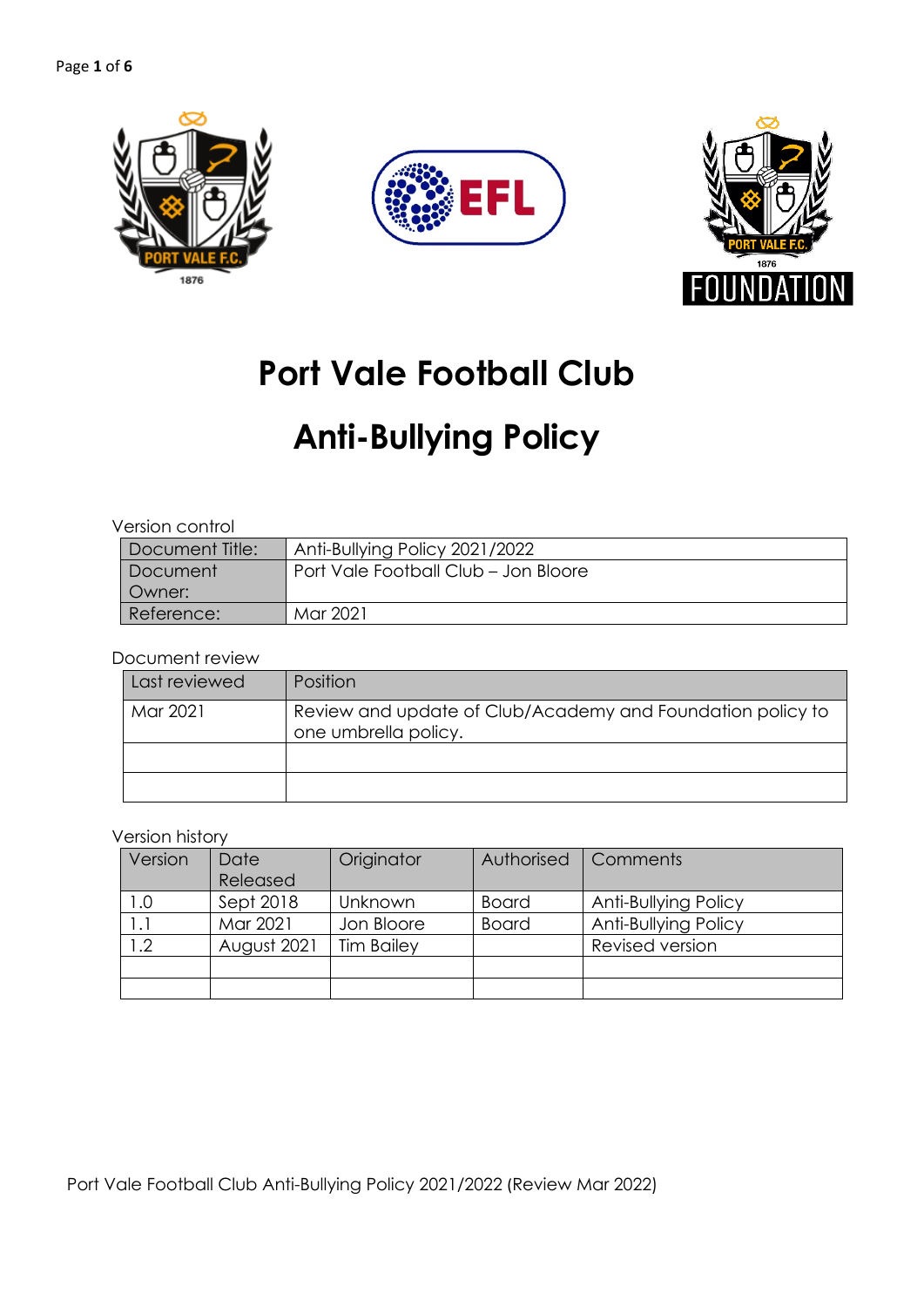





## **Port Vale Football Club**

# **Anti-Bullying Policy**

#### Version control

| Document Title: | Anti-Bullying Policy 2021/2022       |
|-----------------|--------------------------------------|
| Document        | Port Vale Football Club - Jon Bloore |
| l Owner:        |                                      |
| Reference:      | Mar 2021                             |

#### Document review

| Last reviewed | Position                                                                           |  |  |  |
|---------------|------------------------------------------------------------------------------------|--|--|--|
| Mar 2021      | Review and update of Club/Academy and Foundation policy to<br>one umbrella policy. |  |  |  |
|               |                                                                                    |  |  |  |
|               |                                                                                    |  |  |  |

#### Version history

| Version | Date        | Originator        | Authorised   | Comments             |
|---------|-------------|-------------------|--------------|----------------------|
|         | Released    |                   |              |                      |
| 1.0     | Sept 2018   | Unknown           | <b>Board</b> | Anti-Bullying Policy |
|         | Mar 2021    | Jon Bloore        | <b>Board</b> | Anti-Bullying Policy |
| 1.2     | August 2021 | <b>Tim Bailey</b> |              | Revised version      |
|         |             |                   |              |                      |
|         |             |                   |              |                      |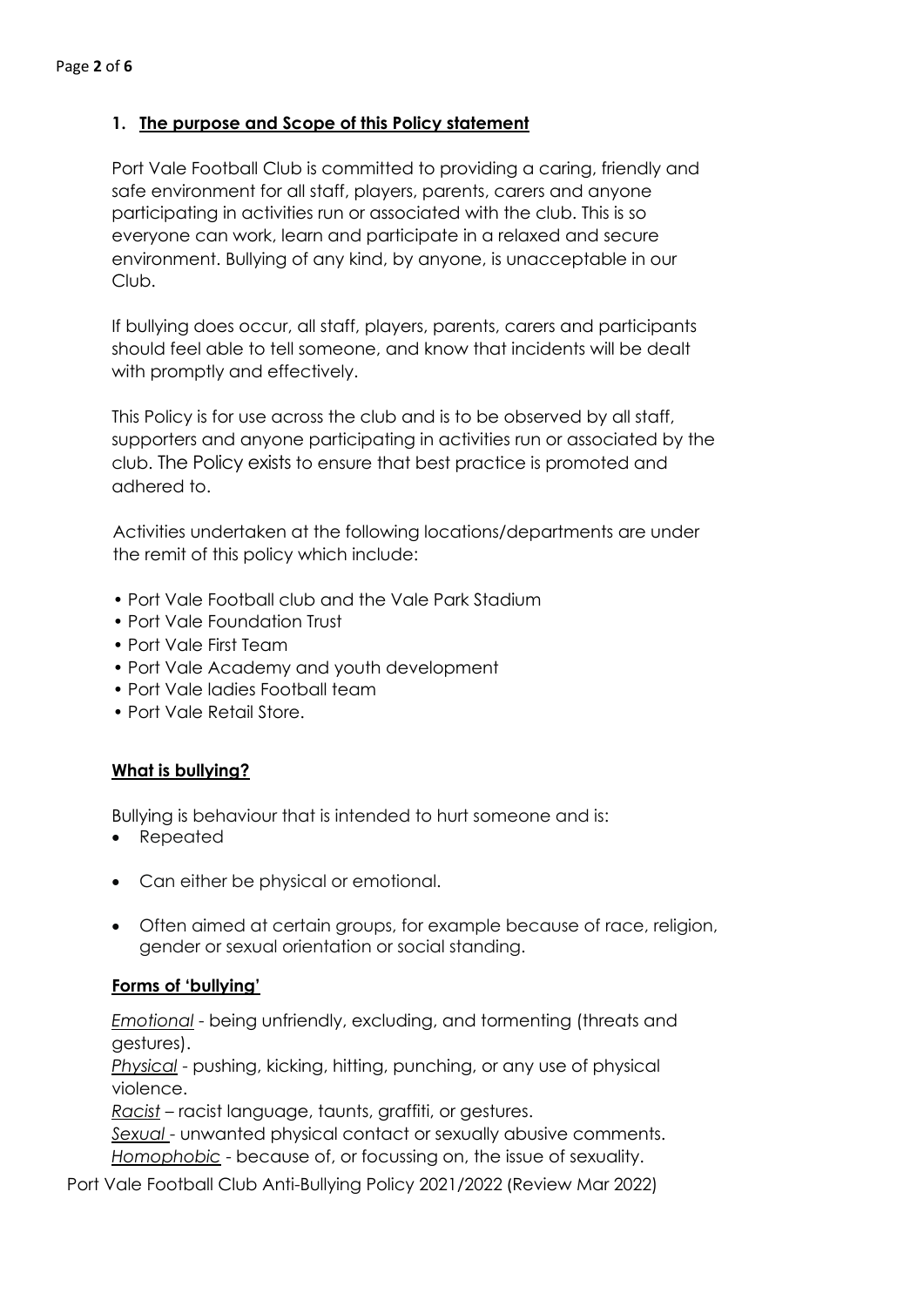## **1. The purpose and Scope of this Policy statement**

Port Vale Football Club is committed to providing a caring, friendly and safe environment for all staff, players, parents, carers and anyone participating in activities run or associated with the club. This is so everyone can work, learn and participate in a relaxed and secure environment. Bullying of any kind, by anyone, is unacceptable in our Club.

If bullying does occur, all staff, players, parents, carers and participants should feel able to tell someone, and know that incidents will be dealt with promptly and effectively.

This Policy is for use across the club and is to be observed by all staff, supporters and anyone participating in activities run or associated by the club. The Policy exists to ensure that best practice is promoted and adhered to.

Activities undertaken at the following locations/departments are under the remit of this policy which include:

- Port Vale Football club and the Vale Park Stadium
- Port Vale Foundation Trust
- Port Vale First Team
- Port Vale Academy and youth development
- Port Vale ladies Football team
- Port Vale Retail Store.

## **What is bullying?**

Bullying is behaviour that is intended to hurt someone and is:

- Repeated
- Can either be physical or emotional.
- Often aimed at certain groups, for example because of race, religion, gender or sexual orientation or social standing.

## **Forms of 'bullying'**

*Emotional* - being unfriendly, excluding, and tormenting (threats and gestures).

*Physical* - pushing, kicking, hitting, punching, or any use of physical violence.

*Racist* – racist language, taunts, graffiti, or gestures.

*Sexual* - unwanted physical contact or sexually abusive comments. *Homophobic* - because of, or focussing on, the issue of sexuality.

Port Vale Football Club Anti-Bullying Policy 2021/2022 (Review Mar 2022)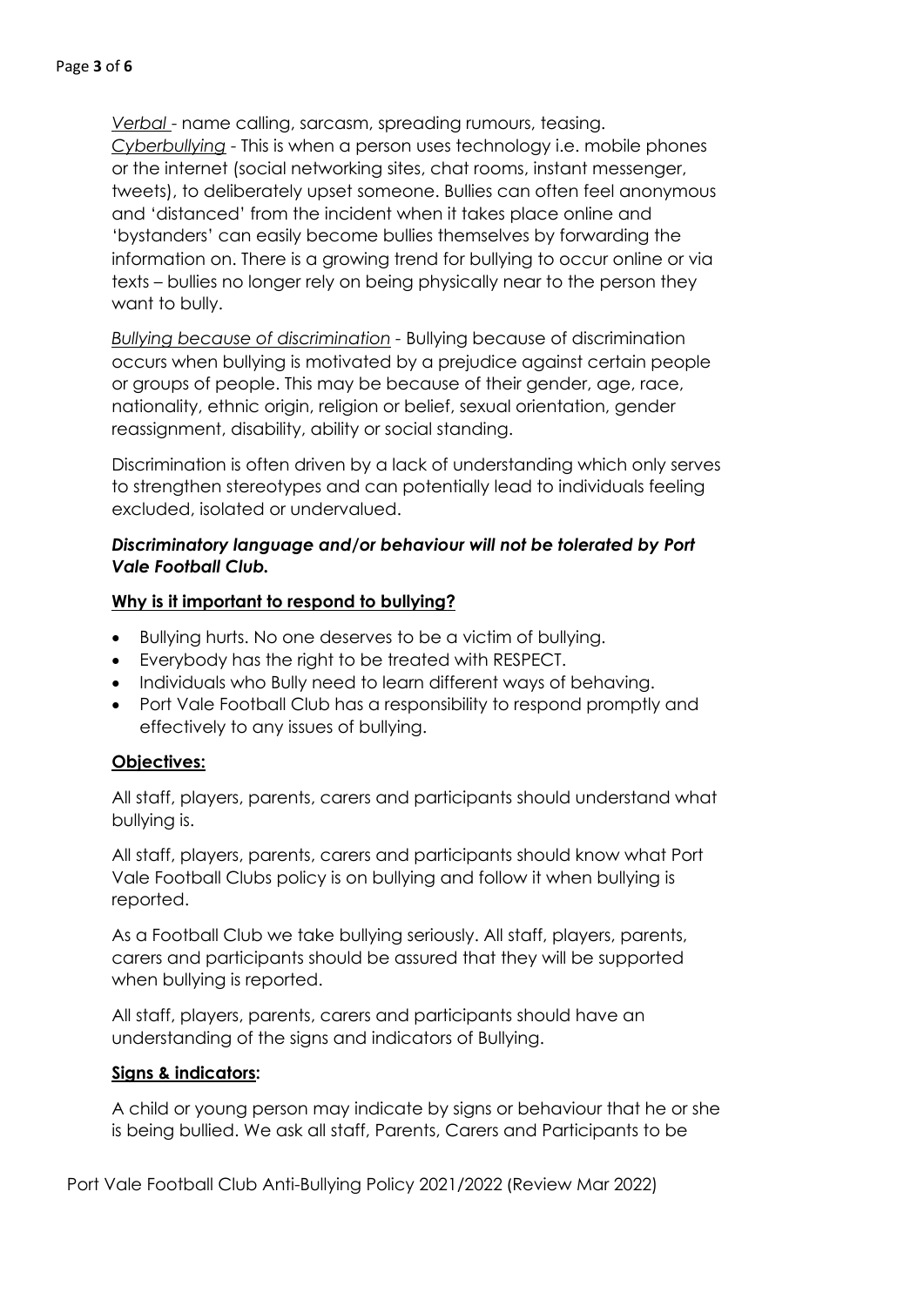*Verbal* - name calling, sarcasm, spreading rumours, teasing. *Cyberbullying* - This is when a person uses technology i.e. mobile phones or the internet (social networking sites, chat rooms, instant messenger, tweets), to deliberately upset someone. Bullies can often feel anonymous and 'distanced' from the incident when it takes place online and 'bystanders' can easily become bullies themselves by forwarding the information on. There is a growing trend for bullying to occur online or via texts – bullies no longer rely on being physically near to the person they want to bully.

*Bullying because of discrimination -* Bullying because of discrimination occurs when bullying is motivated by a prejudice against certain people or groups of people. This may be because of their gender, age, race, nationality, ethnic origin, religion or belief, sexual orientation, gender reassignment, disability, ability or social standing.

Discrimination is often driven by a lack of understanding which only serves to strengthen stereotypes and can potentially lead to individuals feeling excluded, isolated or undervalued.

## *Discriminatory language and/or behaviour will not be tolerated by Port Vale Football Club.*

## **Why is it important to respond to bullying?**

- Bullying hurts. No one deserves to be a victim of bullying.
- Everybody has the right to be treated with RESPECT.
- Individuals who Bully need to learn different ways of behaving.
- Port Vale Football Club has a responsibility to respond promptly and effectively to any issues of bullying.

## **Objectives:**

All staff, players, parents, carers and participants should understand what bullying is.

All staff, players, parents, carers and participants should know what Port Vale Football Clubs policy is on bullying and follow it when bullying is reported.

As a Football Club we take bullying seriously. All staff, players, parents, carers and participants should be assured that they will be supported when bullying is reported.

All staff, players, parents, carers and participants should have an understanding of the signs and indicators of Bullying.

## **Signs & indicators:**

A child or young person may indicate by signs or behaviour that he or she is being bullied. We ask all staff, Parents, Carers and Participants to be

Port Vale Football Club Anti-Bullying Policy 2021/2022 (Review Mar 2022)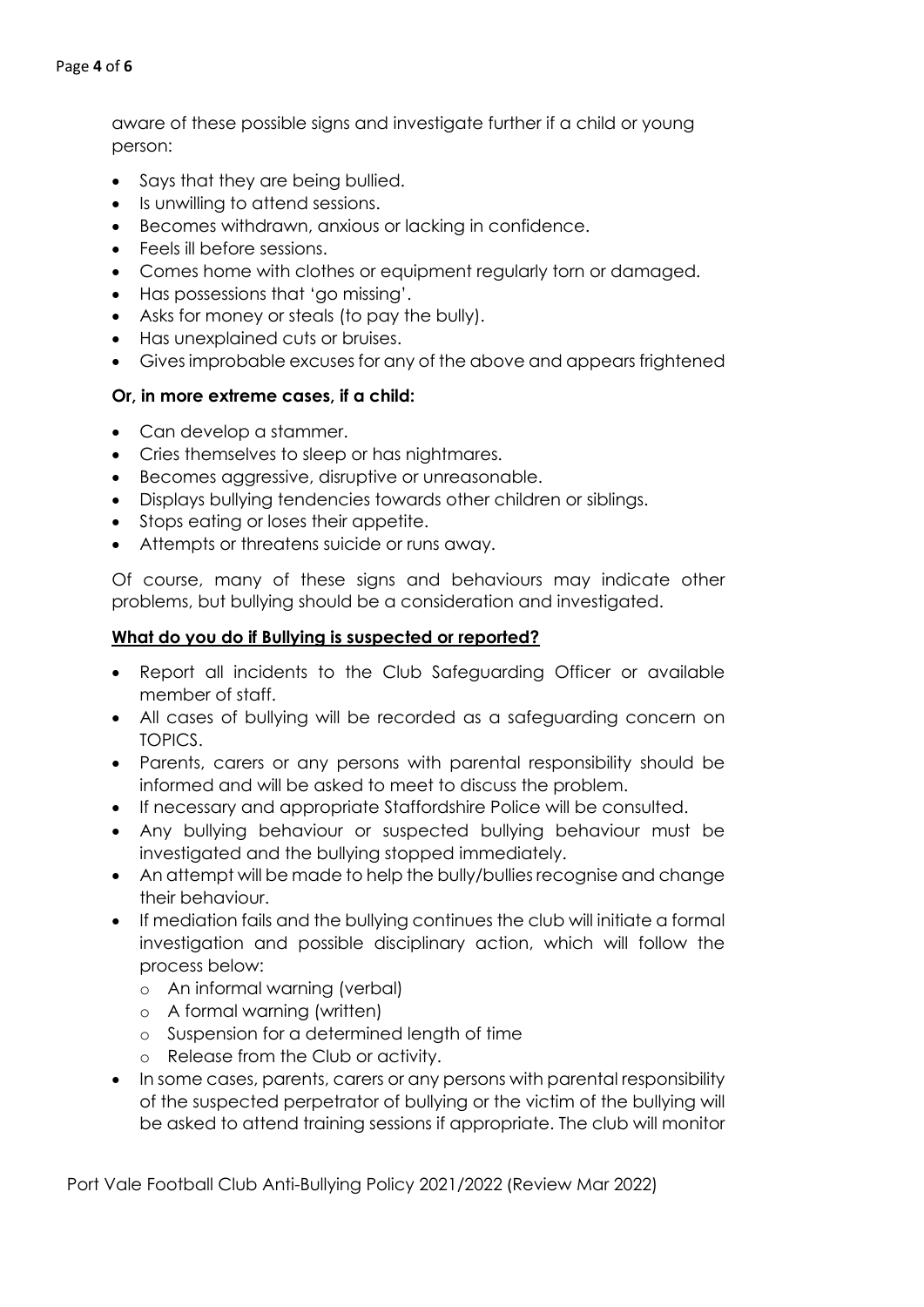#### Page **4** of **6**

aware of these possible signs and investigate further if a child or young person:

- Says that they are being bullied.
- Is unwilling to attend sessions.
- Becomes withdrawn, anxious or lacking in confidence.
- Feels ill before sessions.
- Comes home with clothes or equipment regularly torn or damaged.
- Has possessions that 'go missing'.
- Asks for money or steals (to pay the bully).
- Has unexplained cuts or bruises.
- Gives improbable excuses for any of the above and appears frightened

#### **Or, in more extreme cases, if a child:**

- Can develop a stammer.
- Cries themselves to sleep or has nightmares.
- Becomes aggressive, disruptive or unreasonable.
- Displays bullying tendencies towards other children or siblings.
- Stops eating or loses their appetite.
- Attempts or threatens suicide or runs away.

Of course, many of these signs and behaviours may indicate other problems, but bullying should be a consideration and investigated.

#### **What do you do if Bullying is suspected or reported?**

- Report all incidents to the Club Safeguarding Officer or available member of staff.
- All cases of bullying will be recorded as a safeguarding concern on TOPICS.
- Parents, carers or any persons with parental responsibility should be informed and will be asked to meet to discuss the problem.
- If necessary and appropriate Staffordshire Police will be consulted.
- Any bullying behaviour or suspected bullying behaviour must be investigated and the bullying stopped immediately.
- An attempt will be made to help the bully/bullies recognise and change their behaviour.
- If mediation fails and the bullying continues the club will initiate a formal investigation and possible disciplinary action, which will follow the process below:
	- o An informal warning (verbal)
	- o A formal warning (written)
	- o Suspension for a determined length of time
	- o Release from the Club or activity.
- In some cases, parents, carers or any persons with parental responsibility of the suspected perpetrator of bullying or the victim of the bullying will be asked to attend training sessions if appropriate. The club will monitor

Port Vale Football Club Anti-Bullying Policy 2021/2022 (Review Mar 2022)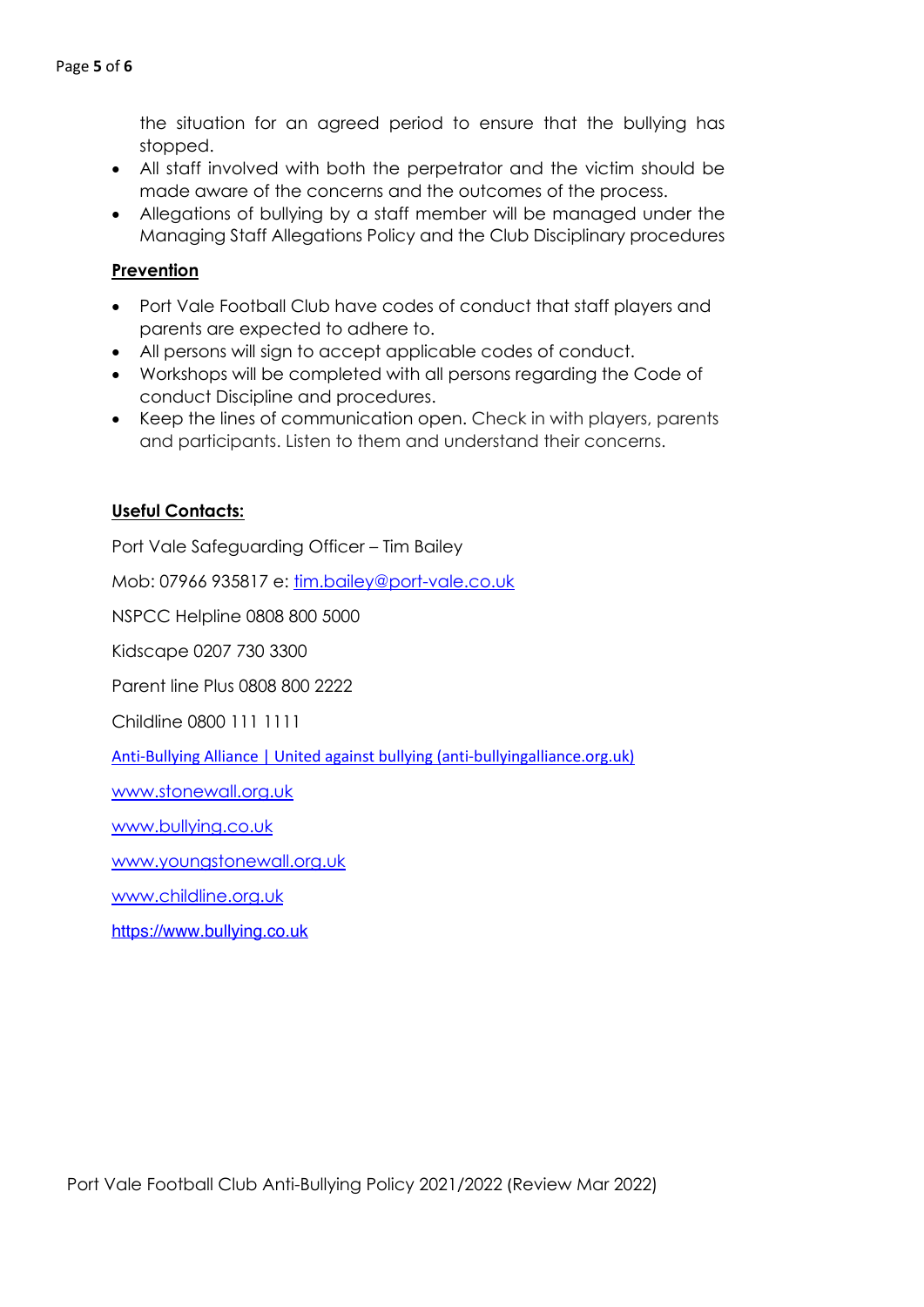the situation for an agreed period to ensure that the bullying has stopped.

- All staff involved with both the perpetrator and the victim should be made aware of the concerns and the outcomes of the process.
- Allegations of bullying by a staff member will be managed under the Managing Staff Allegations Policy and the Club Disciplinary procedures

## **Prevention**

- Port Vale Football Club have codes of conduct that staff players and parents are expected to adhere to.
- All persons will sign to accept applicable codes of conduct.
- Workshops will be completed with all persons regarding the Code of conduct Discipline and procedures.
- Keep the lines of communication open. Check in with players, parents and participants. Listen to them and understand their concerns.

#### **Useful Contacts:**

Port Vale Safeguarding Officer – Tim Bailey

Mob: 07966 935817 e: tim.bailey@port-vale.co.uk

NSPCC Helpline 0808 800 5000

Kidscape 0207 730 3300

Parent line Plus 0808 800 2222

Childline 0800 111 1111

Anti-Bullying Alliance | United against bullying (anti-bullyingalliance.org.uk)

www.stonewall.org.uk

www.bullying.co.uk

www.youngstonewall.org.uk

www.childline.org.uk

https://www.bullying.co.uk